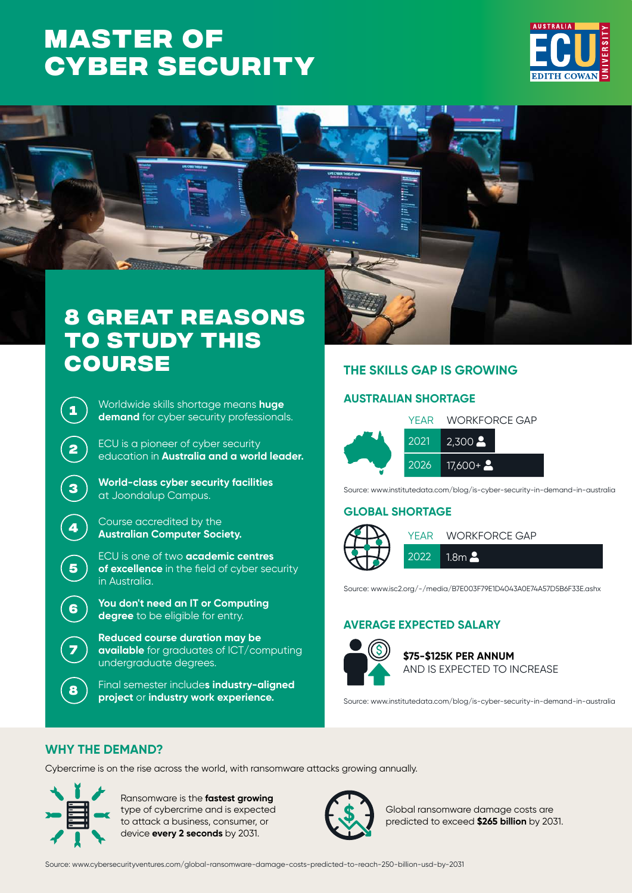# **Master of [Cyber Security](https://www.ecu.edu.au/degrees/courses/master-of-cyber-security)**





## **8 great reasons to study this course**

**<sup>1</sup>** Worldwide skills shortage means **huge demand** for cyber security professionals.

**<sup>2</sup>** ECU is a pioneer of cyber security education in **Australia and a world leader.**

- **<sup>3</sup> World-class cyber security facilities** at Joondalup Campus.
- **<sup>4</sup>** Course accredited by the **Australian Computer Society.**

ECU is one of two **academic centres of excellence** in the field of cyber security in Australia.

- **<sup>6</sup> You don't need an IT or Computing degree** to be eligible for entry.
- **Reduced course duration may be available** for graduates of ICT/computing undergraduate degrees.
- **<sup>8</sup>** Final semester include**s industry-aligned project** or **industry work experience.**

## **THE SKILLS GAP IS GROWING**

## **AUSTRALIAN SHORTAGE**



Source: www.institutedata.com/blog/is-cyber-security-in-demand-in-australia

## **GLOBAL SHORTAGE**



Source: www.isc2.org/-/media/B7E003F79E1D4043A0E74A57D5B6F33E.ashx

## **AVERAGE EXPECTED SALARY**



**\$75-\$125K PER ANNUM** AND IS EXPECTED TO INCREASE

Source: www.institutedata.com/blog/is-cyber-security-in-demand-in-australia

## **WHY THE DEMAND?**

Cybercrime is on the rise across the world, with ransomware attacks growing annually.



**5**

**7**

Ransomware is the **fastest growing** type of cybercrime and is expected to attack a business, consumer, or device **every 2 seconds** by 2031.



Global ransomware damage costs are predicted to exceed **\$265 billion** by 2031.